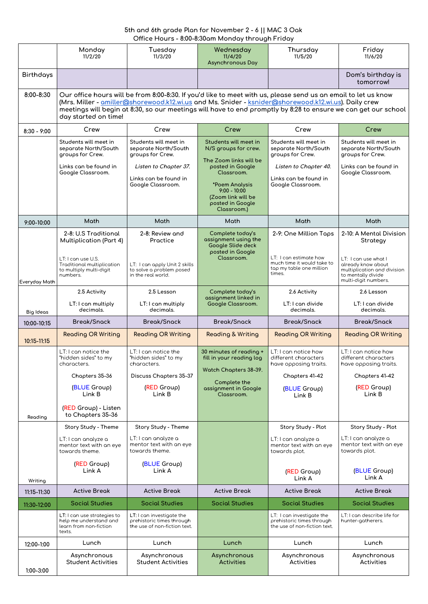## **5th and 6th grade Plan for November 2 - 6 || MAC 3 Oak Office Hours - 8:00-8:30am Monday through Friday**

|                        | Monday<br>11/2/20                                                                                                                                                                                                                                                                                                                                                               | Tuesday<br>11/3/20                                                                     | Wednesday<br>11/4/20<br><b>Asynchronous Day</b>                                                                                                       | Thursday<br>11/5/20                                                                                                                        | Friday<br>11/6/20                                                                               |  |  |
|------------------------|---------------------------------------------------------------------------------------------------------------------------------------------------------------------------------------------------------------------------------------------------------------------------------------------------------------------------------------------------------------------------------|----------------------------------------------------------------------------------------|-------------------------------------------------------------------------------------------------------------------------------------------------------|--------------------------------------------------------------------------------------------------------------------------------------------|-------------------------------------------------------------------------------------------------|--|--|
| <b>Birthdays</b>       |                                                                                                                                                                                                                                                                                                                                                                                 |                                                                                        |                                                                                                                                                       |                                                                                                                                            | Dom's birthday is<br>tomorrow!                                                                  |  |  |
| 8:00-8:30              | Our office hours will be from 8:00-8:30. If you'd like to meet with us, please send us an email to let us know<br>(Mrs. Miller - <u>amiller@shorewood.k12.wi.us</u> and Ms. Snider - <u>ksnider@shorewood.k12.wi.us</u> ). Daily crew<br>meetings will begin at 8:30, so our meetings will have to end promptly by 8:28 to ensure we can get our school<br>day started on time! |                                                                                        |                                                                                                                                                       |                                                                                                                                            |                                                                                                 |  |  |
| $8:30 - 9:00$          | Crew                                                                                                                                                                                                                                                                                                                                                                            | Crew                                                                                   | Crew                                                                                                                                                  | Crew                                                                                                                                       | Crew                                                                                            |  |  |
|                        | Students will meet in<br>separate North/South<br>groups for Crew.                                                                                                                                                                                                                                                                                                               | Students will meet in<br>separate North/South<br>groups for Crew.                      | Students will meet in<br>N/S groups for crew.                                                                                                         | Students will meet in<br>separate North/South<br>groups for Crew.                                                                          | Students will meet in<br>separate North/South<br>groups for Crew.                               |  |  |
|                        | Links can be found in<br>Google Classroom.                                                                                                                                                                                                                                                                                                                                      | Listen to Chapter 37.<br>Links can be found in<br>Google Classroom.                    | The Zoom links will be<br>posted in Google<br>Classroom.<br>*Poem Analysis<br>$9:00 - 10:00$<br>(Zoom link will be<br>posted in Google<br>Classroom.) | Listen to Chapter 40.<br>Links can be found in<br>Google Classroom.                                                                        | Links can be found in<br>Google Classroom.                                                      |  |  |
| 9:00-10:00             | <b>Math</b>                                                                                                                                                                                                                                                                                                                                                                     | Math                                                                                   | Math                                                                                                                                                  | Math                                                                                                                                       | Math                                                                                            |  |  |
|                        | 2-8: U.S Traditional<br><b>Multiplication (Part 4)</b><br>LT: I can use U.S.                                                                                                                                                                                                                                                                                                    | 2-8: Review and<br>Practice                                                            | Complete today's<br>assignment using the<br>Google Slide deck<br>posted in Google<br>Classroom.                                                       | 2-9: One Million Taps<br>LT: I can estimate how<br>much time it would take to                                                              | 2-10: A Mental Division<br>Strategy<br>LT: I can use what I                                     |  |  |
| Everyday Math          | Traditional multiplication<br>to multiply multi-digit<br>numbers.                                                                                                                                                                                                                                                                                                               | LT: I can apply Unit 2 skills<br>to solve a problem posed<br>in the real world.        |                                                                                                                                                       | tap my table one million<br>times.                                                                                                         | already know about<br>multiplication and division<br>to mentally divide<br>multi-digit numbers. |  |  |
|                        | 2.5 Activity                                                                                                                                                                                                                                                                                                                                                                    | 2.5 Lesson                                                                             | Complete today's                                                                                                                                      | 2.6 Activity                                                                                                                               | 2.6 Lesson                                                                                      |  |  |
| <b>Big Ideas</b>       | LT: I can multiply<br>decimals.                                                                                                                                                                                                                                                                                                                                                 | LT: I can multiply<br>decimals.                                                        | assignment linked in<br>Google Classroom.                                                                                                             | LT: I can divide<br>decimals.                                                                                                              | LT: I can divide<br>decimals.                                                                   |  |  |
| 10:00-10:15            | <b>Break/Snack</b>                                                                                                                                                                                                                                                                                                                                                              | <b>Break/Snack</b>                                                                     | <b>Break/Snack</b>                                                                                                                                    | <b>Break/Snack</b>                                                                                                                         | <b>Break/Snack</b>                                                                              |  |  |
| 10:15-11:15            | <b>Reading OR Writing</b>                                                                                                                                                                                                                                                                                                                                                       | <b>Reading OR Writing</b>                                                              | <b>Reading &amp; Writing</b>                                                                                                                          | <b>Reading OR Writing</b>                                                                                                                  | <b>Reading OR Writing</b>                                                                       |  |  |
|                        | LT: I can notice the<br>"hidden sides" to my<br>characters.                                                                                                                                                                                                                                                                                                                     | LT: I can notice the<br>"hidden sides" to my<br>characters.                            | 30 minutes of reading +<br>fill in your reading log<br>Watch Chapters 38-39.                                                                          | LT: I can notice how<br>different characters<br>have opposing traits.                                                                      | LT: I can notice how<br>different characters<br>have opposing traits.                           |  |  |
|                        | Chapters 35-36                                                                                                                                                                                                                                                                                                                                                                  | Discuss Chapters 35-37                                                                 | Complete the                                                                                                                                          | Chapters 41-42                                                                                                                             | Chapters 41-42                                                                                  |  |  |
|                        | (BLUE Group)<br>Link B                                                                                                                                                                                                                                                                                                                                                          | (RED Group)<br>Link B                                                                  | assignment in Google<br>Classroom.                                                                                                                    | (BLUE Group)<br>Link B                                                                                                                     | (RED Group)<br>Link B                                                                           |  |  |
| Reading                | (RED Group) - Listen<br>to Chapters 35-36                                                                                                                                                                                                                                                                                                                                       |                                                                                        |                                                                                                                                                       |                                                                                                                                            |                                                                                                 |  |  |
|                        | Story Study - Theme                                                                                                                                                                                                                                                                                                                                                             | Story Study - Theme                                                                    |                                                                                                                                                       | Story Study - Plot                                                                                                                         | Story Study - Plot                                                                              |  |  |
|                        | LT: I can analyze a<br>mentor text with an eye<br>towards theme.                                                                                                                                                                                                                                                                                                                | LT: I can analyze a<br>mentor text with an eye<br>towards theme.                       |                                                                                                                                                       | LT: I can analyze a<br>mentor text with an eye<br>towards plot.                                                                            | LT: I can analyze a<br>mentor text with an eye<br>towards plot.                                 |  |  |
|                        | (RED Group)<br>Link A                                                                                                                                                                                                                                                                                                                                                           | (BLUE Group)<br>Link A                                                                 |                                                                                                                                                       | (RED Group)<br>Link A                                                                                                                      | (BLUE Group)<br>Link A                                                                          |  |  |
| Writing<br>11:15-11:30 | <b>Active Break</b>                                                                                                                                                                                                                                                                                                                                                             | <b>Active Break</b>                                                                    | <b>Active Break</b>                                                                                                                                   | <b>Active Break</b>                                                                                                                        | <b>Active Break</b>                                                                             |  |  |
| 11:30-12:00            | <b>Social Studies</b>                                                                                                                                                                                                                                                                                                                                                           | <b>Social Studies</b>                                                                  | <b>Social Studies</b>                                                                                                                                 | <b>Social Studies</b>                                                                                                                      | <b>Social Studies</b>                                                                           |  |  |
|                        | $LT:$ I can use strategies to<br>help me understand and<br>learn from non-fiction<br>texts.                                                                                                                                                                                                                                                                                     | LT: I can investigate the<br>prehistoric times through<br>the use of non-fiction text. |                                                                                                                                                       | LT: I can describe life for<br>LT: I can investigate the<br>prehistoric times through<br>hunter-gatherers.<br>the use of non-fiction text. |                                                                                                 |  |  |
| 12:00-1:00             | Lunch                                                                                                                                                                                                                                                                                                                                                                           | Lunch                                                                                  | Lunch                                                                                                                                                 | Lunch                                                                                                                                      | Lunch                                                                                           |  |  |
| $1:00 - 3:00$          | Asynchronous<br><b>Student Activities</b>                                                                                                                                                                                                                                                                                                                                       | Asynchronous<br><b>Student Activities</b>                                              | Asynchronous<br><b>Activities</b>                                                                                                                     | Asynchronous<br>Asynchronous<br><b>Activities</b><br>Activities                                                                            |                                                                                                 |  |  |